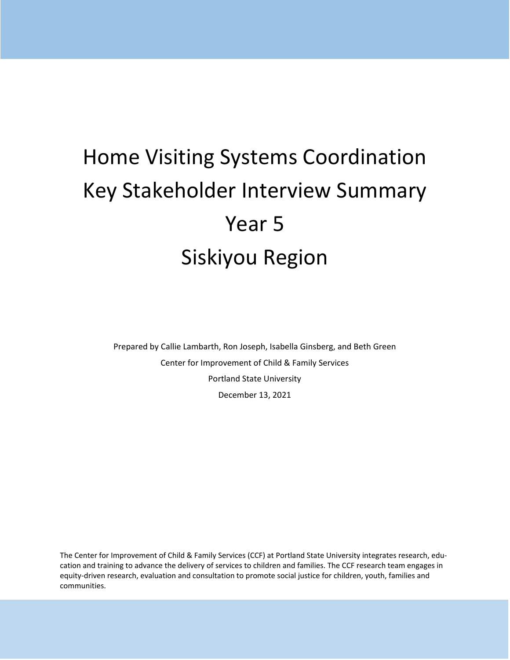# Home Visiting Systems Coordination Key Stakeholder Interview Summary Year 5 Siskiyou Region

Prepared by Callie Lambarth, Ron Joseph, Isabella Ginsberg, and Beth Green Center for Improvement of Child & Family Services Portland State University December 13, 2021

The Center for Improvement of Child & Family Services (CCF) at Portland State University integrates research, education and training to advance the delivery of services to children and families. The CCF research team engages in equity-driven research, evaluation and consultation to promote social justice for children, youth, families and communities.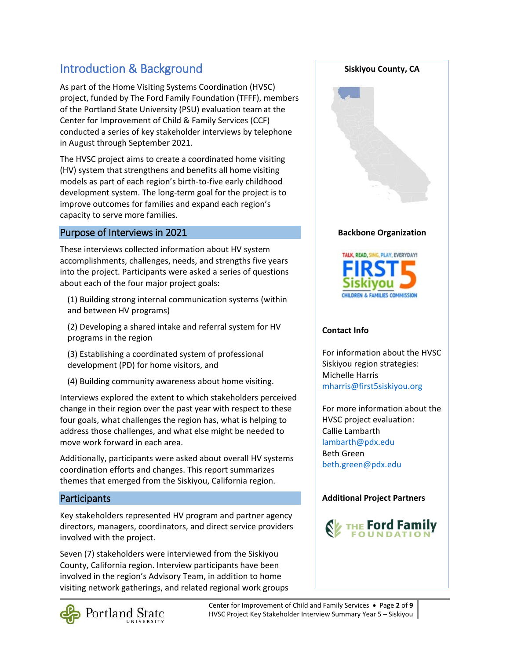## Introduction & Background

As part of the Home Visiting Systems Coordination (HVSC) project, funded by The Ford Family Foundation (TFFF), members of the Portland State University (PSU) evaluation teamat the Center for Improvement of Child & Family Services (CCF) conducted a series of key stakeholder interviews by telephone in August through September 2021.

The HVSC project aims to create a coordinated home visiting (HV) system that strengthens and benefits all home visiting models as part of each region's birth-to-five early childhood development system. The long-term goal for the project is to improve outcomes for families and expand each region's capacity to serve more families.

## Purpose of Interviews in 2021

These interviews collected information about HV system accomplishments, challenges, needs, and strengths five years into the project. Participants were asked a series of questions about each of the four major project goals:

(1) Building strong internal communication systems (within and between HV programs)

(2) Developing a shared intake and referral system for HV programs in the region

(3) Establishing a coordinated system of professional development (PD) for home visitors, and

(4) Building community awareness about home visiting.

Interviews explored the extent to which stakeholders perceived change in their region over the past year with respect to these four goals, what challenges the region has, what is helping to address those challenges, and what else might be needed to move work forward in each area.

Additionally, participants were asked about overall HV systems coordination efforts and changes. This report summarizes themes that emerged from the Siskiyou, California region.

## **Participants**

Key stakeholders represented HV program and partner agency directors, managers, coordinators, and direct service providers involved with the project.

Seven (7) stakeholders were interviewed from the Siskiyou County, California region. Interview participants have been involved in the region's Advisory Team, in addition to home visiting network gatherings, and related regional work groups

**Backbone Organization** TALK, READ, SING, PLAY, EVERYDAY!



**Siskiyou County, CA**

## **Contact Info**

For information about the HVSC Siskiyou region strategies: Michelle Harris [mharris@first5siskiyou.org](mailto:mharris@first5siskiyou.org)

For more information about the HVSC project evaluation: Callie Lambarth [lambarth@pdx.edu](mailto:lambarth@pdx.edu) Beth Green [beth.green@pdx.edu](mailto:beth.green@pdx.edu) 

## **Additional Project Partners**



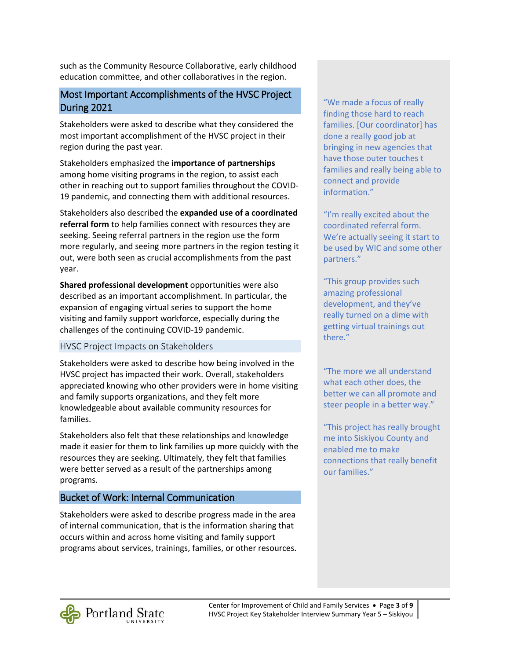such as the Community Resource Collaborative, early childhood education committee, and other collaboratives in the region.

## Most Important Accomplishments of the HVSC Project During 2021

Stakeholders were asked to describe what they considered the most important accomplishment of the HVSC project in their region during the past year.

Stakeholders emphasized the **importance of partnerships** among home visiting programs in the region, to assist each other in reaching out to support families throughout the COVID-19 pandemic, and connecting them with additional resources.

Stakeholders also described the **expanded use of a coordinated referral form** to help families connect with resources they are seeking. Seeing referral partners in the region use the form more regularly, and seeing more partners in the region testing it out, were both seen as crucial accomplishments from the past year.

**Shared professional development** opportunities were also described as an important accomplishment. In particular, the expansion of engaging virtual series to support the home visiting and family support workforce, especially during the challenges of the continuing COVID-19 pandemic.

## HVSC Project Impacts on Stakeholders

Stakeholders were asked to describe how being involved in the HVSC project has impacted their work. Overall, stakeholders appreciated knowing who other providers were in home visiting and family supports organizations, and they felt more knowledgeable about available community resources for families.

Stakeholders also felt that these relationships and knowledge made it easier for them to link families up more quickly with the resources they are seeking. Ultimately, they felt that families were better served as a result of the partnerships among programs.

## Bucket of Work: Internal Communication

Stakeholders were asked to describe progress made in the area of internal communication, that is the information sharing that occurs within and across home visiting and family support programs about services, trainings, families, or other resources. "We made a focus of really finding those hard to reach families. [Our coordinator] has done a really good job at bringing in new agencies that have those outer touches t families and really being able to connect and provide information."

"I'm really excited about the coordinated referral form. We're actually seeing it start to be used by WIC and some other partners."

"This group provides such amazing professional development, and they've really turned on a dime with getting virtual trainings out there."

"The more we all understand what each other does, the better we can all promote and steer people in a better way."

"This project has really brought me into Siskiyou County and enabled me to make connections that really benefit our families."

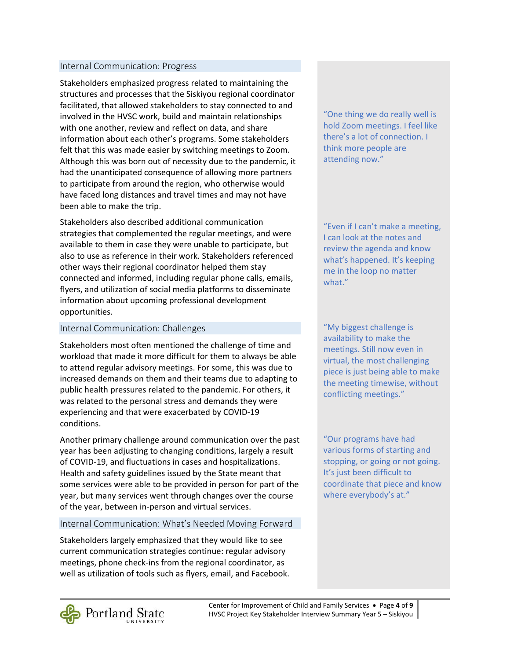#### Internal Communication: Progress

Stakeholders emphasized progress related to maintaining the structures and processes that the Siskiyou regional coordinator facilitated, that allowed stakeholders to stay connected to and involved in the HVSC work, build and maintain relationships with one another, review and reflect on data, and share information about each other's programs. Some stakeholders felt that this was made easier by switching meetings to Zoom. Although this was born out of necessity due to the pandemic, it had the unanticipated consequence of allowing more partners to participate from around the region, who otherwise would have faced long distances and travel times and may not have been able to make the trip.

Stakeholders also described additional communication strategies that complemented the regular meetings, and were available to them in case they were unable to participate, but also to use as reference in their work. Stakeholders referenced other ways their regional coordinator helped them stay connected and informed, including regular phone calls, emails, flyers, and utilization of social media platforms to disseminate information about upcoming professional development opportunities.

#### Internal Communication: Challenges

Stakeholders most often mentioned the challenge of time and workload that made it more difficult for them to always be able to attend regular advisory meetings. For some, this was due to increased demands on them and their teams due to adapting to public health pressures related to the pandemic. For others, it was related to the personal stress and demands they were experiencing and that were exacerbated by COVID-19 conditions.

Another primary challenge around communication over the past year has been adjusting to changing conditions, largely a result of COVID-19, and fluctuations in cases and hospitalizations. Health and safety guidelines issued by the State meant that some services were able to be provided in person for part of the year, but many services went through changes over the course of the year, between in-person and virtual services.

## Internal Communication: What's Needed Moving Forward

Stakeholders largely emphasized that they would like to see current communication strategies continue: regular advisory meetings, phone check-ins from the regional coordinator, as well as utilization of tools such as flyers, email, and Facebook. "One thing we do really well is hold Zoom meetings. I feel like there's a lot of connection. I think more people are attending now."

"Even if I can't make a meeting, I can look at the notes and review the agenda and know what's happened. It's keeping me in the loop no matter what."

"My biggest challenge is availability to make the meetings. Still now even in virtual, the most challenging piece is just being able to make the meeting timewise, without conflicting meetings."

"Our programs have had various forms of starting and stopping, or going or not going. It's just been difficult to coordinate that piece and know where everybody's at."

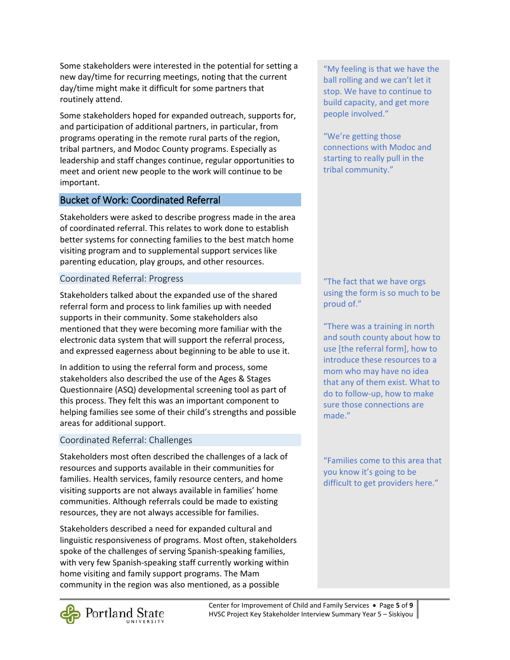Some stakeholders were interested in the potential for setting a new day/time for recurring meetings, noting that the current day/time might make it difficult for some partners that routinely attend.

Some stakeholders hoped for expanded outreach, supports for, and participation of additional partners, in particular, from programs operating in the remote rural parts of the region, tribal partners, and Modoc County programs. Especially as leadership and staff changes continue, regular opportunities to meet and orient new people to the work will continue to be important.

## Bucket of Work: Coordinated Referral

Stakeholders were asked to describe progress made in the area of coordinated referral. This relates to work done to establish better systems for connecting families to the best match home visiting program and to supplemental support services like parenting education, play groups, and other resources.

## Coordinated Referral: Progress

Stakeholders talked about the expanded use of the shared referral form and process to link families up with needed supports in their community. Some stakeholders also mentioned that they were becoming more familiar with the electronic data system that will support the referral process, and expressed eagerness about beginning to be able to use it.

In addition to using the referral form and process, some stakeholders also described the use of the Ages & Stages Questionnaire (ASQ) developmental screening tool as part of this process. They felt this was an important component to helping families see some of their child's strengths and possible areas for additional support.

## Coordinated Referral: Challenges

Stakeholders most often described the challenges of a lack of resources and supports available in their communities for families. Health services, family resource centers, and home visiting supports are not always available in families' home communities. Although referrals could be made to existing resources, they are not always accessible for families.

Stakeholders described a need for expanded cultural and linguistic responsiveness of programs. Most often, stakeholders spoke of the challenges of serving Spanish-speaking families, with very few Spanish-speaking staff currently working within home visiting and family support programs. The Mam community in the region was also mentioned, as a possible

"My feeling is that we have the ball rolling and we can't let it stop. We have to continue to build capacity, and get more people involved."

"We're getting those connections with Modoc and starting to really pull in the tribal community."

"The fact that we have orgs using the form is so much to be proud of."

"There was a training in north and south county about how to use [the referral form], how to introduce these resources to a mom who may have no idea that any of them exist. What to do to follow-up, how to make sure those connections are made."

"Families come to this area that you know it's going to be difficult to get providers here."

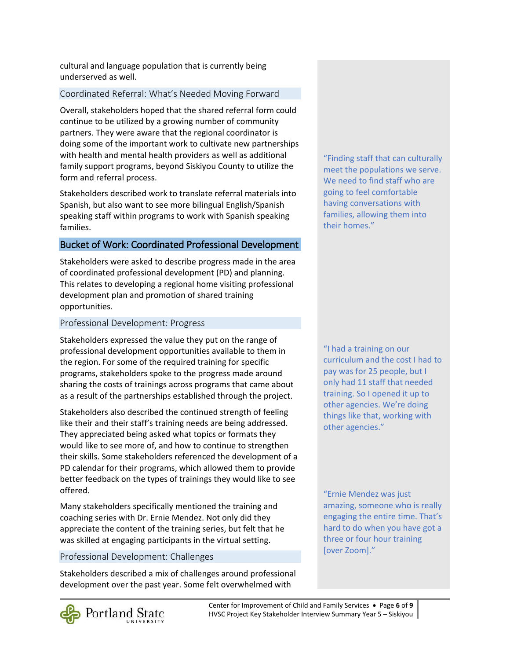cultural and language population that is currently being underserved as well.

## Coordinated Referral: What's Needed Moving Forward

Overall, stakeholders hoped that the shared referral form could continue to be utilized by a growing number of community partners. They were aware that the regional coordinator is doing some of the important work to cultivate new partnerships with health and mental health providers as well as additional family support programs, beyond Siskiyou County to utilize the form and referral process.

Stakeholders described work to translate referral materials into Spanish, but also want to see more bilingual English/Spanish speaking staff within programs to work with Spanish speaking families.

## Bucket of Work: Coordinated Professional Development

Stakeholders were asked to describe progress made in the area of coordinated professional development (PD) and planning. This relates to developing a regional home visiting professional development plan and promotion of shared training opportunities.

## Professional Development: Progress

Stakeholders expressed the value they put on the range of professional development opportunities available to them in the region. For some of the required training for specific programs, stakeholders spoke to the progress made around sharing the costs of trainings across programs that came about as a result of the partnerships established through the project.

Stakeholders also described the continued strength of feeling like their and their staff's training needs are being addressed. They appreciated being asked what topics or formats they would like to see more of, and how to continue to strengthen their skills. Some stakeholders referenced the development of a PD calendar for their programs, which allowed them to provide better feedback on the types of trainings they would like to see offered.

Many stakeholders specifically mentioned the training and coaching series with Dr. Ernie Mendez. Not only did they appreciate the content of the training series, but felt that he was skilled at engaging participants in the virtual setting.

## Professional Development: Challenges

Stakeholders described a mix of challenges around professional development over the past year. Some felt overwhelmed with

"Finding staff that can culturally meet the populations we serve. We need to find staff who are We need to find staff who are<br>going to feel comfortable having conversations with families, allowing them into their homes."

"I had a training on our curriculum and the cost I had to pay was for 25 people, but I only had 11 staff that needed training. So I opened it up to other agencies. We're doing things like that, working with other agencies."

"Ernie Mendez was just amazing, someone who is really engaging the entire time. That's hard to do when you have got a three or four hour training  $[over\, \, 200m]."$ 

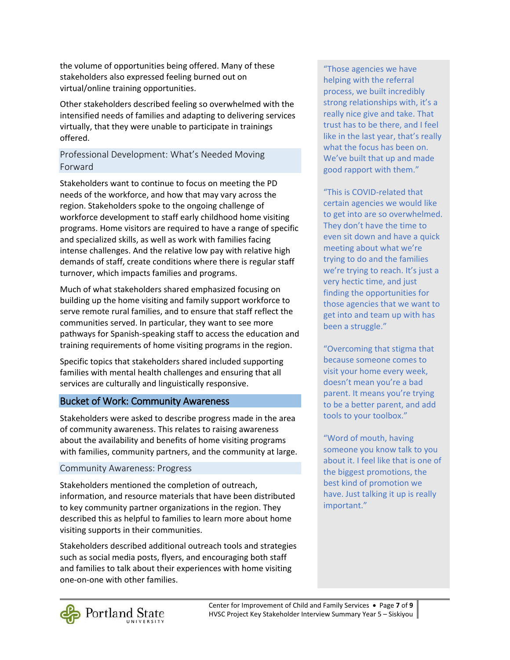the volume of opportunities being offered. Many of these stakeholders also expressed feeling burned out on virtual/online training opportunities.

Other stakeholders described feeling so overwhelmed with the intensified needs of families and adapting to delivering services virtually, that they were unable to participate in trainings offered.

## Professional Development: What's Needed Moving Forward

Stakeholders want to continue to focus on meeting the PD needs of the workforce, and how that may vary across the region. Stakeholders spoke to the ongoing challenge of workforce development to staff early childhood home visiting programs. Home visitors are required to have a range of specific and specialized skills, as well as work with families facing intense challenges. And the relative low pay with relative high demands of staff, create conditions where there is regular staff turnover, which impacts families and programs.

Much of what stakeholders shared emphasized focusing on building up the home visiting and family support workforce to serve remote rural families, and to ensure that staff reflect the communities served. In particular, they want to see more pathways for Spanish-speaking staff to access the education and training requirements of home visiting programs in the region.

Specific topics that stakeholders shared included supporting families with mental health challenges and ensuring that all services are culturally and linguistically responsive.

## Bucket of Work: Community Awareness

Stakeholders were asked to describe progress made in the area of community awareness. This relates to raising awareness about the availability and benefits of home visiting programs with families, community partners, and the community at large.

## Community Awareness: Progress

Stakeholders mentioned the completion of outreach, information, and resource materials that have been distributed to key community partner organizations in the region. They described this as helpful to families to learn more about home visiting supports in their communities.

Stakeholders described additional outreach tools and strategies such as social media posts, flyers, and encouraging both staff and families to talk about their experiences with home visiting one-on-one with other families.

"Those agencies we have helping with the referral process, we built incredibly strong relationships with, it's a really nice give and take. That trust has to be there, and I feel like in the last year, that's really what the focus has been on. We've built that up and made good rapport with them."

"This is COVID-related that certain agencies we would like to get into are so overwhelmed. They don't have the time to even sit down and have a quick meeting about what we're trying to do and the families we're trying to reach. It's just a very hectic time, and just finding the opportunities for those agencies that we want to get into and team up with has been a struggle."

"Overcoming that stigma that because someone comes to visit your home every week, doesn't mean you're a bad parent. It means you're trying to be a better parent, and add tools to your toolbox."

"Word of mouth, having someone you know talk to you about it. I feel like that is one of the biggest promotions, the best kind of promotion we have. Just talking it up is really important."

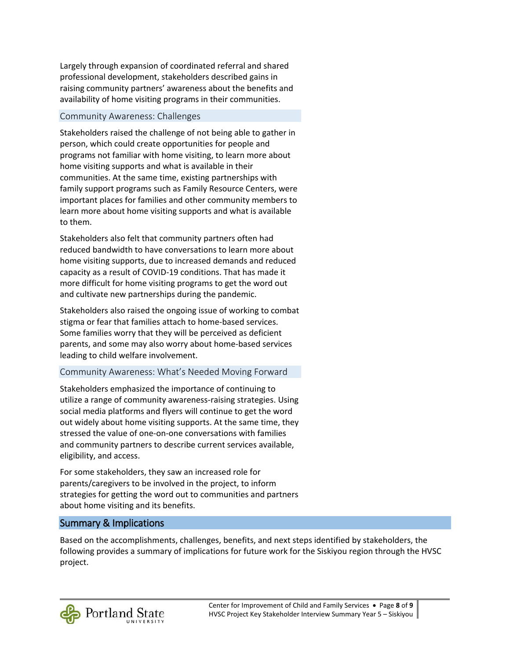Largely through expansion of coordinated referral and shared professional development, stakeholders described gains in raising community partners' awareness about the benefits and availability of home visiting programs in their communities.

## Community Awareness: Challenges

Stakeholders raised the challenge of not being able to gather in person, which could create opportunities for people and programs not familiar with home visiting, to learn more about home visiting supports and what is available in their communities. At the same time, existing partnerships with family support programs such as Family Resource Centers, were important places for families and other community members to learn more about home visiting supports and what is available to them.

Stakeholders also felt that community partners often had reduced bandwidth to have conversations to learn more about home visiting supports, due to increased demands and reduced capacity as a result of COVID-19 conditions. That has made it more difficult for home visiting programs to get the word out and cultivate new partnerships during the pandemic.

Stakeholders also raised the ongoing issue of working to combat stigma or fear that families attach to home-based services. Some families worry that they will be perceived as deficient parents, and some may also worry about home-based services leading to child welfare involvement.

## Community Awareness: What's Needed Moving Forward

Stakeholders emphasized the importance of continuing to utilize a range of community awareness-raising strategies. Using social media platforms and flyers will continue to get the word out widely about home visiting supports. At the same time, they stressed the value of one-on-one conversations with families and community partners to describe current services available, eligibility, and access.

For some stakeholders, they saw an increased role for parents/caregivers to be involved in the project, to inform strategies for getting the word out to communities and partners about home visiting and its benefits.

## Summary & Implications

Based on the accomplishments, challenges, benefits, and next steps identified by stakeholders, the following provides a summary of implications for future work for the Siskiyou region through the HVSC project.